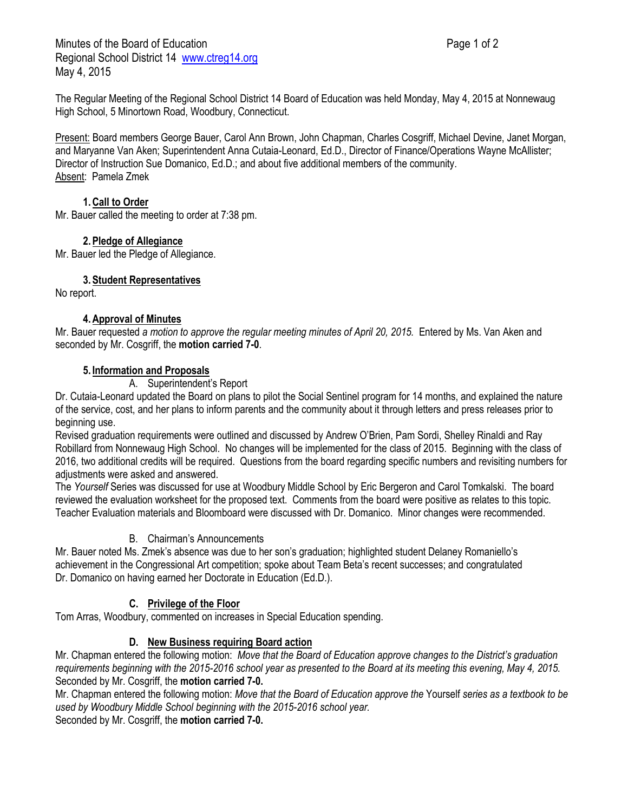Minutes of the Board of Education **Page 1 of 2** and 2 Regional School District 14 [www.ctreg14.org](http://www.ctreg14.org/) May 4, 2015

The Regular Meeting of the Regional School District 14 Board of Education was held Monday, May 4, 2015 at Nonnewaug High School, 5 Minortown Road, Woodbury, Connecticut.

Present: Board members George Bauer, Carol Ann Brown, John Chapman, Charles Cosgriff, Michael Devine, Janet Morgan, and Maryanne Van Aken; Superintendent Anna Cutaia-Leonard, Ed.D., Director of Finance/Operations Wayne McAllister; Director of Instruction Sue Domanico, Ed.D.; and about five additional members of the community. Absent: Pamela Zmek

## **1.Call to Order**

Mr. Bauer called the meeting to order at 7:38 pm.

## **2.Pledge of Allegiance**

Mr. Bauer led the Pledge of Allegiance.

## **3.Student Representatives**

No report.

## **4.Approval of Minutes**

Mr. Bauer requested *a motion to approve the regular meeting minutes of April 20, 2015.* Entered by Ms. Van Aken and seconded by Mr. Cosgriff, the **motion carried 7-0**.

#### **5. Information and Proposals**

A. Superintendent's Report

Dr. Cutaia-Leonard updated the Board on plans to pilot the Social Sentinel program for 14 months, and explained the nature of the service, cost, and her plans to inform parents and the community about it through letters and press releases prior to beginning use.

Revised graduation requirements were outlined and discussed by Andrew O'Brien, Pam Sordi, Shelley Rinaldi and Ray Robillard from Nonnewaug High School. No changes will be implemented for the class of 2015. Beginning with the class of 2016, two additional credits will be required. Questions from the board regarding specific numbers and revisiting numbers for adjustments were asked and answered.

The *Yourself* Series was discussed for use at Woodbury Middle School by Eric Bergeron and Carol Tomkalski. The board reviewed the evaluation worksheet for the proposed text. Comments from the board were positive as relates to this topic. Teacher Evaluation materials and Bloomboard were discussed with Dr. Domanico. Minor changes were recommended.

#### B. Chairman's Announcements

Mr. Bauer noted Ms. Zmek's absence was due to her son's graduation; highlighted student Delaney Romaniello's achievement in the Congressional Art competition; spoke about Team Beta's recent successes; and congratulated Dr. Domanico on having earned her Doctorate in Education (Ed.D.).

# **C. Privilege of the Floor**

Tom Arras, Woodbury, commented on increases in Special Education spending.

# **D. New Business requiring Board action**

Mr. Chapman entered the following motion: *Move that the Board of Education approve changes to the District's graduation requirements beginning with the 2015-2016 school year as presented to the Board at its meeting this evening, May 4, 2015.* Seconded by Mr. Cosgriff, the **motion carried 7-0.**

Mr. Chapman entered the following motion: *Move that the Board of Education approve the* Yourself *series as a textbook to be used by Woodbury Middle School beginning with the 2015-2016 school year.*

Seconded by Mr. Cosgriff, the **motion carried 7-0.**